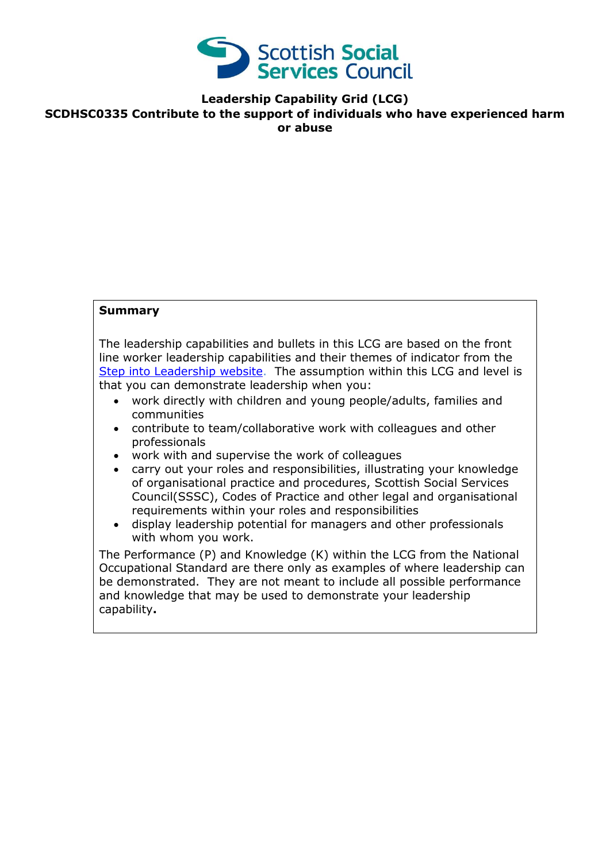

**Leadership Capability Grid (LCG)**

**SCDHSC0335 Contribute to the support of individuals who have experienced harm or abuse**

### **Summary**

The leadership capabilities and bullets in this LCG are based on the front line worker leadership capabilities and their themes of indicator from the [Step into Leadership website.](http://www.stepintoleadership.info/) The assumption within this LCG and level is that you can demonstrate leadership when you:

- work directly with children and young people/adults, families and communities
- contribute to team/collaborative work with colleagues and other professionals
- work with and supervise the work of colleagues
- carry out your roles and responsibilities, illustrating your knowledge of organisational practice and procedures, Scottish Social Services Council(SSSC), Codes of Practice and other legal and organisational requirements within your roles and responsibilities
- display leadership potential for managers and other professionals with whom you work.

The Performance (P) and Knowledge (K) within the LCG from the National Occupational Standard are there only as examples of where leadership can be demonstrated. They are not meant to include all possible performance and knowledge that may be used to demonstrate your leadership capability**.**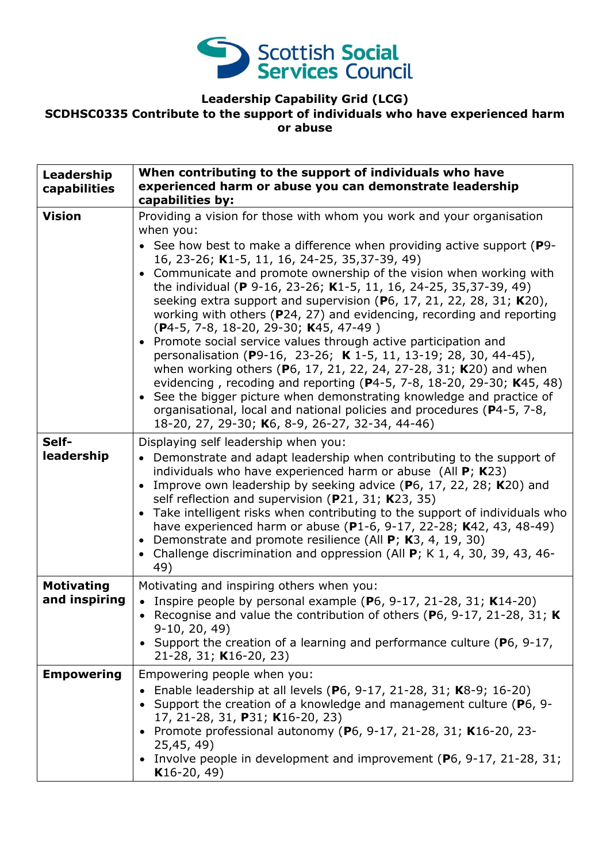

# **Leadership Capability Grid (LCG)**

#### **SCDHSC0335 Contribute to the support of individuals who have experienced harm or abuse**

| Leadership<br>capabilities         | When contributing to the support of individuals who have<br>experienced harm or abuse you can demonstrate leadership<br>capabilities by:                                                                                                                                                                                                                                                                                                                                                                                                                                                                                                                                                                                                                                                                                                                                                                                                                                                                                                             |
|------------------------------------|------------------------------------------------------------------------------------------------------------------------------------------------------------------------------------------------------------------------------------------------------------------------------------------------------------------------------------------------------------------------------------------------------------------------------------------------------------------------------------------------------------------------------------------------------------------------------------------------------------------------------------------------------------------------------------------------------------------------------------------------------------------------------------------------------------------------------------------------------------------------------------------------------------------------------------------------------------------------------------------------------------------------------------------------------|
| <b>Vision</b>                      | Providing a vision for those with whom you work and your organisation<br>when you:<br>• See how best to make a difference when providing active support (P9-<br>16, 23-26; K1-5, 11, 16, 24-25, 35,37-39, 49)<br>Communicate and promote ownership of the vision when working with<br>the individual (P 9-16, 23-26; K1-5, 11, 16, 24-25, 35, 37-39, 49)<br>seeking extra support and supervision ( $P_6$ , 17, 21, 22, 28, 31; $K20$ ),<br>working with others (P24, 27) and evidencing, recording and reporting<br>(P4-5, 7-8, 18-20, 29-30; K45, 47-49)<br>• Promote social service values through active participation and<br>personalisation (P9-16, 23-26; K 1-5, 11, 13-19; 28, 30, 44-45),<br>when working others (P6, 17, 21, 22, 24, 27-28, 31; K20) and when<br>evidencing, recoding and reporting (P4-5, 7-8, 18-20, 29-30; K45, 48)<br>See the bigger picture when demonstrating knowledge and practice of<br>organisational, local and national policies and procedures (P4-5, 7-8,<br>18-20, 27, 29-30; K6, 8-9, 26-27, 32-34, 44-46) |
| Self-<br>leadership                | Displaying self leadership when you:<br>• Demonstrate and adapt leadership when contributing to the support of<br>individuals who have experienced harm or abuse (All P; K23)<br>Improve own leadership by seeking advice (P6, 17, 22, 28; K20) and<br>$\bullet$<br>self reflection and supervision (P21, 31; K23, 35)<br>• Take intelligent risks when contributing to the support of individuals who<br>have experienced harm or abuse (P1-6, 9-17, 22-28; K42, 43, 48-49)<br>Demonstrate and promote resilience (All P; K3, 4, 19, 30)<br>$\bullet$<br>Challenge discrimination and oppression (All $P$ ; K 1, 4, 30, 39, 43, 46-<br>49)                                                                                                                                                                                                                                                                                                                                                                                                          |
| <b>Motivating</b><br>and inspiring | Motivating and inspiring others when you:<br>• Inspire people by personal example (P6, 9-17, 21-28, 31; K14-20)<br>• Recognise and value the contribution of others (P6, 9-17, 21-28, 31; K)<br>$9-10, 20, 49)$<br>• Support the creation of a learning and performance culture ( $P_6$ , 9-17,<br>21-28, 31; K16-20, 23)                                                                                                                                                                                                                                                                                                                                                                                                                                                                                                                                                                                                                                                                                                                            |
| <b>Empowering</b>                  | Empowering people when you:<br>Enable leadership at all levels (P6, 9-17, 21-28, 31; K8-9; 16-20)<br>Support the creation of a knowledge and management culture (P6, 9-<br>17, 21-28, 31, P31; K16-20, 23)<br>• Promote professional autonomy (P6, 9-17, 21-28, 31; K16-20, 23-<br>25,45, 49)<br>• Involve people in development and improvement (P6, 9-17, 21-28, 31;<br>$K16-20, 49)$                                                                                                                                                                                                                                                                                                                                                                                                                                                                                                                                                                                                                                                              |